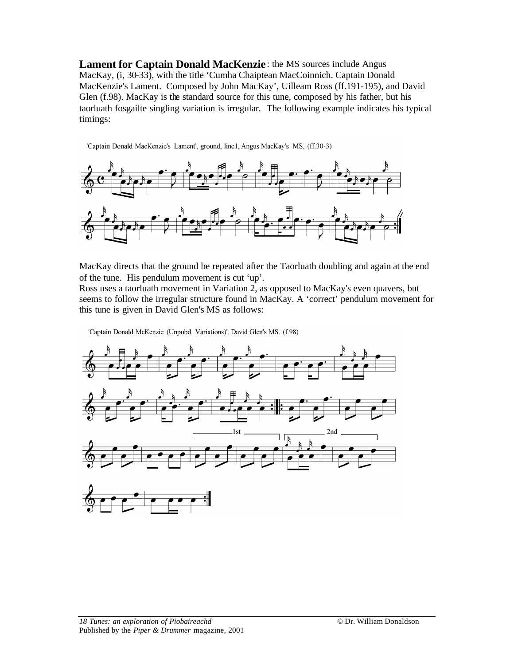**Lament for Captain Donald MacKenzie**: the MS sources include Angus MacKay, (i, 30-33), with the title 'Cumha Chaiptean MacCoinnich. Captain Donald MacKenzie's Lament. Composed by John MacKay', Uilleam Ross (ff.191-195), and David Glen (f.98). MacKay is the standard source for this tune, composed by his father, but his taorluath fosgailte singling variation is irregular. The following example indicates his typical timings:

'Captain Donald MacKenzie's Lament', ground, line1, Angus MacKay's MS, (ff.30-3)



MacKay directs that the ground be repeated after the Taorluath doubling and again at the end of the tune. His pendulum movement is cut 'up'.

Ross uses a taorluath movement in Variation 2, as opposed to MacKay's even quavers, but seems to follow the irregular structure found in MacKay. A 'correct' pendulum movement for this tune is given in David Glen's MS as follows:

'Captain Donald McKenzie (Unpubd. Variations)', David Glen's MS, (f.98)